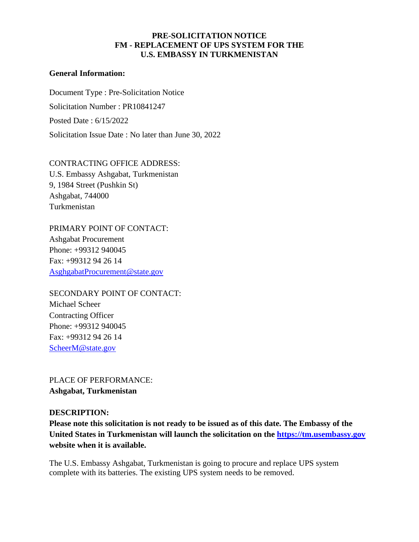# **PRE-SOLICITATION NOTICE FM - [REPLACEMENT OF UPS SYSTEM](http://ilmsariba.state.sbu/Buyer/Main/aw?awh=r&awssk=nyG6&dard=1) FOR THE U.S. EMBASSY IN TURKMENISTAN**

## **General Information:**

Document Type : Pre-Solicitation Notice Solicitation Number : PR10841247 Posted Date : 6/15/2022 Solicitation Issue Date : No later than June 30, 2022

CONTRACTING OFFICE ADDRESS: U.S. Embassy Ashgabat, Turkmenistan 9, 1984 Street (Pushkin St) Ashgabat, 744000 Turkmenistan

PRIMARY POINT OF CONTACT: Ashgabat Procurement Phone: +99312 940045 Fax: +99312 94 26 14 [AsghgabatProcurement@state.gov](mailto:AsghgabatProcurement@state.gov)

SECONDARY POINT OF CONTACT: Michael Scheer Contracting Officer Phone: +99312 940045 Fax: +99312 94 26 14 ScheerM@state.gov

PLACE OF PERFORMANCE: **Ashgabat, Turkmenistan**

### **DESCRIPTION:**

**Please note this solicitation is not ready to be issued as of this date. The Embassy of the United States in Turkmenistan will launch the solicitation on the [https://tm.usembassy.gov](https://tm.usembassy.gov/) website when it is available.**

The U.S. Embassy Ashgabat, Turkmenistan is going to procure and replace UPS system complete with its batteries. The existing UPS system needs to be removed.